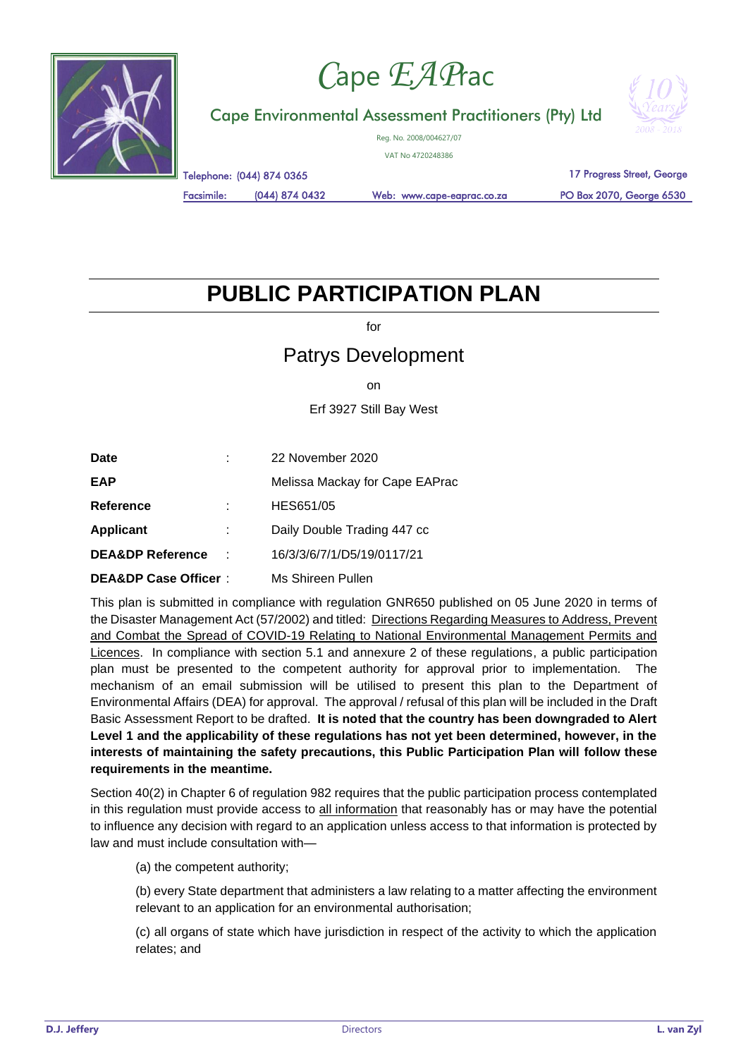

## *C*ape *EAP*rac

Cape Environmental Assessment Practitioners (Pty) Ltd



Reg. No. 2008/004627/07

VAT No 4720248386

Telephone: (044) 874 0365

Facsimile: (044) 874 0432 Web: www.cape-eaprac.co.za

17 Progress Street, George

PO Box 2070, George 6530

## **PUBLIC PARTICIPATION PLAN**

for

## Patrys Development

on

Erf 3927 Still Bay West

| Date                            |   | 22 November 2020               |
|---------------------------------|---|--------------------------------|
| EAP                             |   | Melissa Mackay for Cape EAPrac |
| <b>Reference</b>                |   | HES651/05                      |
| <b>Applicant</b>                | ÷ | Daily Double Trading 447 cc    |
| <b>DEA&amp;DP Reference</b>     | t | 16/3/3/6/7/1/D5/19/0117/21     |
| <b>DEA&amp;DP Case Officer:</b> |   | Ms Shireen Pullen              |

This plan is submitted in compliance with regulation GNR650 published on 05 June 2020 in terms of the Disaster Management Act (57/2002) and titled: Directions Regarding Measures to Address, Prevent and Combat the Spread of COVID-19 Relating to National Environmental Management Permits and Licences. In compliance with section 5.1 and annexure 2 of these regulations, a public participation plan must be presented to the competent authority for approval prior to implementation. The mechanism of an email submission will be utilised to present this plan to the Department of Environmental Affairs (DEA) for approval. The approval / refusal of this plan will be included in the Draft Basic Assessment Report to be drafted. **It is noted that the country has been downgraded to Alert Level 1 and the applicability of these regulations has not yet been determined, however, in the interests of maintaining the safety precautions, this Public Participation Plan will follow these requirements in the meantime.**

Section 40(2) in Chapter 6 of regulation 982 requires that the public participation process contemplated in this regulation must provide access to all information that reasonably has or may have the potential to influence any decision with regard to an application unless access to that information is protected by law and must include consultation with—

(a) the competent authority;

(b) every State department that administers a law relating to a matter affecting the environment relevant to an application for an environmental authorisation;

(c) all organs of state which have jurisdiction in respect of the activity to which the application relates; and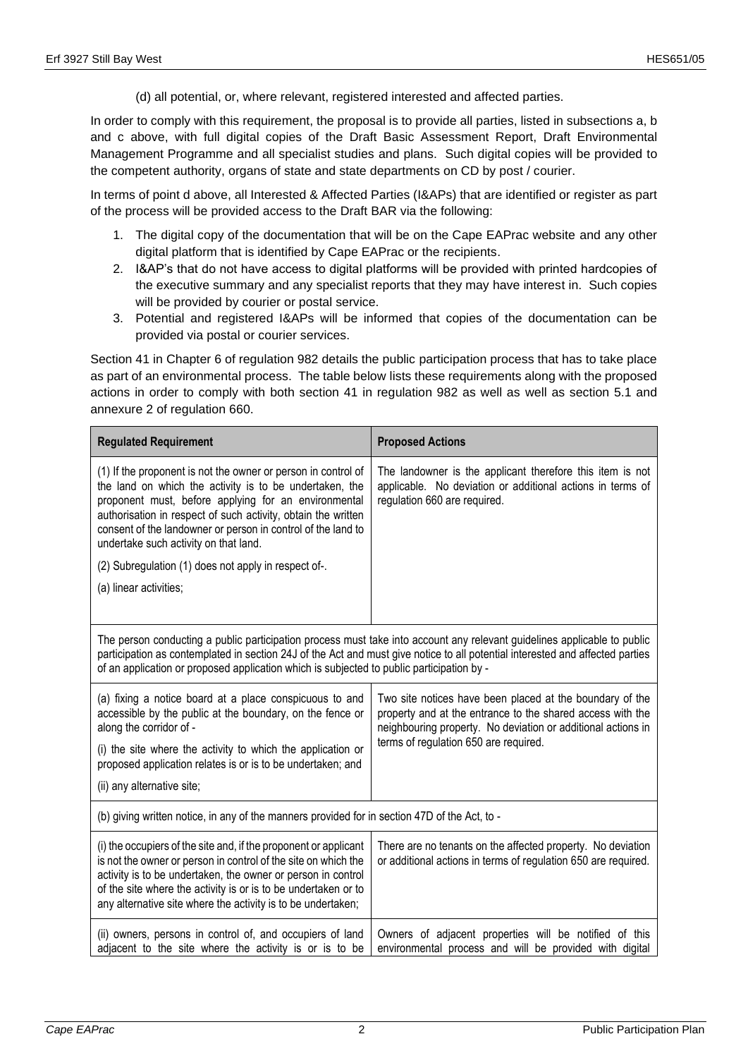(d) all potential, or, where relevant, registered interested and affected parties.

In order to comply with this requirement, the proposal is to provide all parties, listed in subsections a, b and c above, with full digital copies of the Draft Basic Assessment Report, Draft Environmental Management Programme and all specialist studies and plans. Such digital copies will be provided to the competent authority, organs of state and state departments on CD by post / courier.

In terms of point d above, all Interested & Affected Parties (I&APs) that are identified or register as part of the process will be provided access to the Draft BAR via the following:

- 1. The digital copy of the documentation that will be on the Cape EAPrac website and any other digital platform that is identified by Cape EAPrac or the recipients.
- 2. I&AP's that do not have access to digital platforms will be provided with printed hardcopies of the executive summary and any specialist reports that they may have interest in. Such copies will be provided by courier or postal service.
- 3. Potential and registered I&APs will be informed that copies of the documentation can be provided via postal or courier services.

Section 41 in Chapter 6 of regulation 982 details the public participation process that has to take place as part of an environmental process. The table below lists these requirements along with the proposed actions in order to comply with both section 41 in regulation 982 as well as well as section 5.1 and annexure 2 of regulation 660.

| <b>Regulated Requirement</b>                                                                                                                                                                                                                                                                                                                                                                                                                 | <b>Proposed Actions</b>                                                                                                                                                                                                         |  |  |
|----------------------------------------------------------------------------------------------------------------------------------------------------------------------------------------------------------------------------------------------------------------------------------------------------------------------------------------------------------------------------------------------------------------------------------------------|---------------------------------------------------------------------------------------------------------------------------------------------------------------------------------------------------------------------------------|--|--|
| (1) If the proponent is not the owner or person in control of<br>the land on which the activity is to be undertaken, the<br>proponent must, before applying for an environmental<br>authorisation in respect of such activity, obtain the written<br>consent of the landowner or person in control of the land to<br>undertake such activity on that land.<br>(2) Subregulation (1) does not apply in respect of-.<br>(a) linear activities; | The landowner is the applicant therefore this item is not<br>applicable. No deviation or additional actions in terms of<br>regulation 660 are required.                                                                         |  |  |
|                                                                                                                                                                                                                                                                                                                                                                                                                                              |                                                                                                                                                                                                                                 |  |  |
| The person conducting a public participation process must take into account any relevant guidelines applicable to public<br>participation as contemplated in section 24J of the Act and must give notice to all potential interested and affected parties<br>of an application or proposed application which is subjected to public participation by -                                                                                       |                                                                                                                                                                                                                                 |  |  |
| (a) fixing a notice board at a place conspicuous to and<br>accessible by the public at the boundary, on the fence or<br>along the corridor of -                                                                                                                                                                                                                                                                                              | Two site notices have been placed at the boundary of the<br>property and at the entrance to the shared access with the<br>neighbouring property. No deviation or additional actions in<br>terms of regulation 650 are required. |  |  |
| (i) the site where the activity to which the application or<br>proposed application relates is or is to be undertaken; and                                                                                                                                                                                                                                                                                                                   |                                                                                                                                                                                                                                 |  |  |
| (ii) any alternative site;                                                                                                                                                                                                                                                                                                                                                                                                                   |                                                                                                                                                                                                                                 |  |  |
| (b) giving written notice, in any of the manners provided for in section 47D of the Act, to -                                                                                                                                                                                                                                                                                                                                                |                                                                                                                                                                                                                                 |  |  |
| (i) the occupiers of the site and, if the proponent or applicant<br>is not the owner or person in control of the site on which the<br>activity is to be undertaken, the owner or person in control<br>of the site where the activity is or is to be undertaken or to<br>any alternative site where the activity is to be undertaken;                                                                                                         | There are no tenants on the affected property. No deviation<br>or additional actions in terms of regulation 650 are required.                                                                                                   |  |  |
| (ii) owners, persons in control of, and occupiers of land<br>adjacent to the site where the activity is or is to be                                                                                                                                                                                                                                                                                                                          | Owners of adjacent properties will be notified of this<br>environmental process and will be provided with digital                                                                                                               |  |  |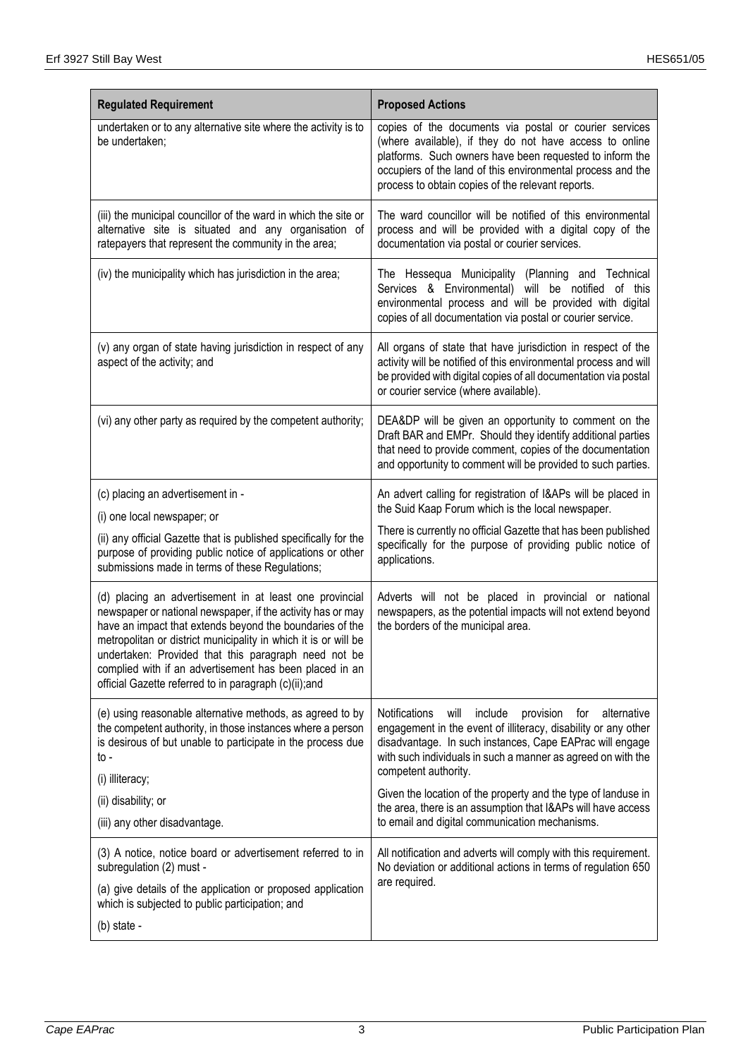| <b>Regulated Requirement</b>                                                                                                                                                                                                                                                                                                                                                                                                      | <b>Proposed Actions</b>                                                                                                                                                                                                                                                                           |
|-----------------------------------------------------------------------------------------------------------------------------------------------------------------------------------------------------------------------------------------------------------------------------------------------------------------------------------------------------------------------------------------------------------------------------------|---------------------------------------------------------------------------------------------------------------------------------------------------------------------------------------------------------------------------------------------------------------------------------------------------|
| undertaken or to any alternative site where the activity is to<br>be undertaken;                                                                                                                                                                                                                                                                                                                                                  | copies of the documents via postal or courier services<br>(where available), if they do not have access to online<br>platforms. Such owners have been requested to inform the<br>occupiers of the land of this environmental process and the<br>process to obtain copies of the relevant reports. |
| (iii) the municipal councillor of the ward in which the site or<br>alternative site is situated and any organisation of<br>ratepayers that represent the community in the area;                                                                                                                                                                                                                                                   | The ward councillor will be notified of this environmental<br>process and will be provided with a digital copy of the<br>documentation via postal or courier services.                                                                                                                            |
| (iv) the municipality which has jurisdiction in the area;                                                                                                                                                                                                                                                                                                                                                                         | The Hessequa Municipality (Planning and Technical<br>Services & Environmental) will be notified of this<br>environmental process and will be provided with digital<br>copies of all documentation via postal or courier service.                                                                  |
| (v) any organ of state having jurisdiction in respect of any<br>aspect of the activity; and                                                                                                                                                                                                                                                                                                                                       | All organs of state that have jurisdiction in respect of the<br>activity will be notified of this environmental process and will<br>be provided with digital copies of all documentation via postal<br>or courier service (where available).                                                      |
| (vi) any other party as required by the competent authority;                                                                                                                                                                                                                                                                                                                                                                      | DEA&DP will be given an opportunity to comment on the<br>Draft BAR and EMPr. Should they identify additional parties<br>that need to provide comment, copies of the documentation<br>and opportunity to comment will be provided to such parties.                                                 |
| (c) placing an advertisement in -                                                                                                                                                                                                                                                                                                                                                                                                 | An advert calling for registration of I&APs will be placed in                                                                                                                                                                                                                                     |
| (i) one local newspaper; or                                                                                                                                                                                                                                                                                                                                                                                                       | the Suid Kaap Forum which is the local newspaper.                                                                                                                                                                                                                                                 |
| (ii) any official Gazette that is published specifically for the<br>purpose of providing public notice of applications or other<br>submissions made in terms of these Regulations;                                                                                                                                                                                                                                                | There is currently no official Gazette that has been published<br>specifically for the purpose of providing public notice of<br>applications.                                                                                                                                                     |
| (d) placing an advertisement in at least one provincial<br>newspaper or national newspaper, if the activity has or may<br>have an impact that extends beyond the boundaries of the<br>metropolitan or district municipality in which it is or will be<br>undertaken: Provided that this paragraph need not be<br>complied with if an advertisement has been placed in an<br>official Gazette referred to in paragraph (c)(ii);and | Adverts will not be placed in provincial or national<br>newspapers, as the potential impacts will not extend beyond<br>the borders of the municipal area.                                                                                                                                         |
| (e) using reasonable alternative methods, as agreed to by<br>the competent authority, in those instances where a person<br>is desirous of but unable to participate in the process due<br>to -                                                                                                                                                                                                                                    | <b>Notifications</b><br>will<br>include<br>provision<br>alternative<br>for<br>engagement in the event of illiteracy, disability or any other<br>disadvantage. In such instances, Cape EAPrac will engage<br>with such individuals in such a manner as agreed on with the<br>competent authority.  |
| (i) illiteracy;                                                                                                                                                                                                                                                                                                                                                                                                                   | Given the location of the property and the type of landuse in<br>the area, there is an assumption that I&APs will have access<br>to email and digital communication mechanisms.                                                                                                                   |
| (ii) disability; or<br>(iii) any other disadvantage.                                                                                                                                                                                                                                                                                                                                                                              |                                                                                                                                                                                                                                                                                                   |
| (3) A notice, notice board or advertisement referred to in<br>subregulation (2) must -                                                                                                                                                                                                                                                                                                                                            | All notification and adverts will comply with this requirement.<br>No deviation or additional actions in terms of regulation 650<br>are required.                                                                                                                                                 |
| (a) give details of the application or proposed application<br>which is subjected to public participation; and                                                                                                                                                                                                                                                                                                                    |                                                                                                                                                                                                                                                                                                   |
| (b) state -                                                                                                                                                                                                                                                                                                                                                                                                                       |                                                                                                                                                                                                                                                                                                   |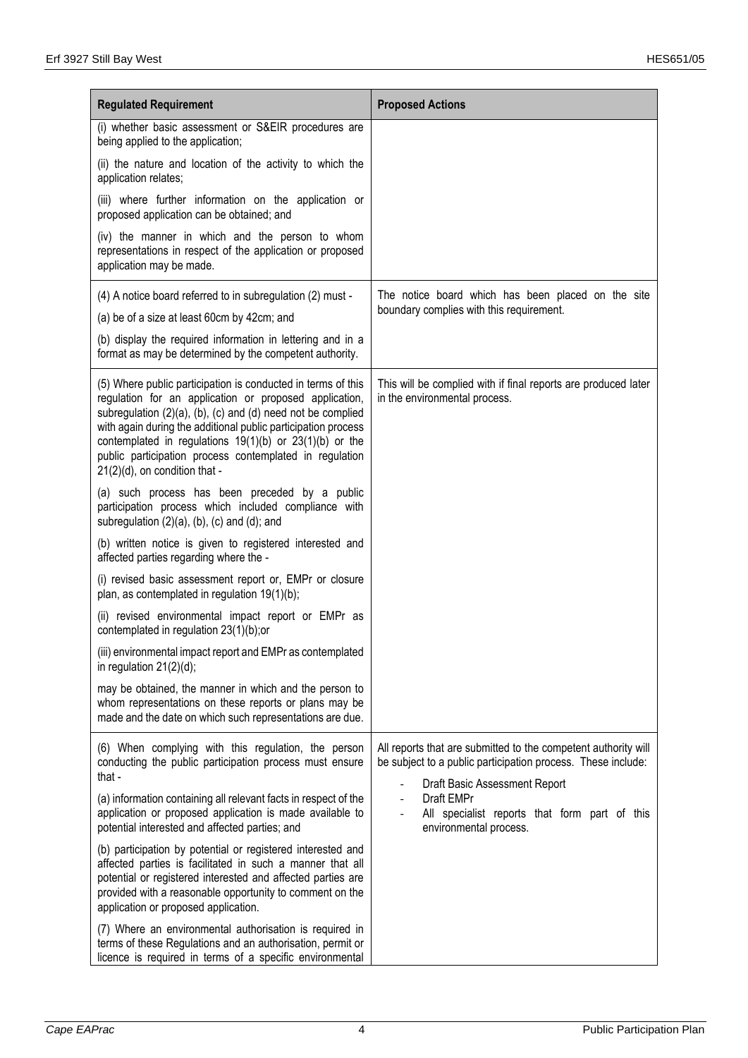| <b>Regulated Requirement</b>                                                                                                                                                                                                                                                                                                                                                                                      | <b>Proposed Actions</b>                                                                                                        |
|-------------------------------------------------------------------------------------------------------------------------------------------------------------------------------------------------------------------------------------------------------------------------------------------------------------------------------------------------------------------------------------------------------------------|--------------------------------------------------------------------------------------------------------------------------------|
| (i) whether basic assessment or S&EIR procedures are<br>being applied to the application;                                                                                                                                                                                                                                                                                                                         |                                                                                                                                |
| (ii) the nature and location of the activity to which the<br>application relates;                                                                                                                                                                                                                                                                                                                                 |                                                                                                                                |
| (iii) where further information on the application or<br>proposed application can be obtained; and                                                                                                                                                                                                                                                                                                                |                                                                                                                                |
| (iv) the manner in which and the person to whom<br>representations in respect of the application or proposed<br>application may be made.                                                                                                                                                                                                                                                                          |                                                                                                                                |
| (4) A notice board referred to in subregulation (2) must -                                                                                                                                                                                                                                                                                                                                                        | The notice board which has been placed on the site                                                                             |
| (a) be of a size at least 60cm by 42cm; and                                                                                                                                                                                                                                                                                                                                                                       | boundary complies with this requirement.                                                                                       |
| (b) display the required information in lettering and in a<br>format as may be determined by the competent authority.                                                                                                                                                                                                                                                                                             |                                                                                                                                |
| (5) Where public participation is conducted in terms of this<br>regulation for an application or proposed application,<br>subregulation (2)(a), (b), (c) and (d) need not be complied<br>with again during the additional public participation process<br>contemplated in regulations $19(1)(b)$ or $23(1)(b)$ or the<br>public participation process contemplated in regulation<br>21(2)(d), on condition that - | This will be complied with if final reports are produced later<br>in the environmental process.                                |
| (a) such process has been preceded by a public<br>participation process which included compliance with<br>subregulation $(2)(a)$ , $(b)$ , $(c)$ and $(d)$ ; and                                                                                                                                                                                                                                                  |                                                                                                                                |
| (b) written notice is given to registered interested and<br>affected parties regarding where the -                                                                                                                                                                                                                                                                                                                |                                                                                                                                |
| (i) revised basic assessment report or, EMPr or closure<br>plan, as contemplated in regulation 19(1)(b);                                                                                                                                                                                                                                                                                                          |                                                                                                                                |
| (ii) revised environmental impact report or EMPr as<br>contemplated in regulation 23(1)(b);or                                                                                                                                                                                                                                                                                                                     |                                                                                                                                |
| (iii) environmental impact report and EMPr as contemplated<br>in regulation $21(2)(d)$ ;                                                                                                                                                                                                                                                                                                                          |                                                                                                                                |
| may be obtained, the manner in which and the person to<br>whom representations on these reports or plans may be<br>made and the date on which such representations are due.                                                                                                                                                                                                                                       |                                                                                                                                |
| (6) When complying with this regulation, the person<br>conducting the public participation process must ensure<br>that -                                                                                                                                                                                                                                                                                          | All reports that are submitted to the competent authority will<br>be subject to a public participation process. These include: |
| (a) information containing all relevant facts in respect of the<br>application or proposed application is made available to<br>potential interested and affected parties; and                                                                                                                                                                                                                                     | Draft Basic Assessment Report<br>Draft EMPr<br>All specialist reports that form part of this<br>environmental process.         |
| (b) participation by potential or registered interested and<br>affected parties is facilitated in such a manner that all<br>potential or registered interested and affected parties are<br>provided with a reasonable opportunity to comment on the<br>application or proposed application.                                                                                                                       |                                                                                                                                |
| (7) Where an environmental authorisation is required in<br>terms of these Regulations and an authorisation, permit or<br>licence is required in terms of a specific environmental                                                                                                                                                                                                                                 |                                                                                                                                |